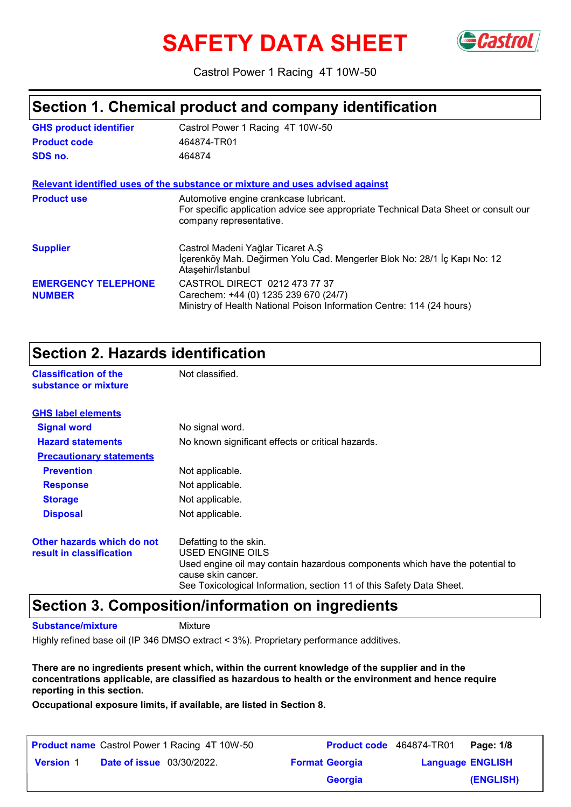# **SAFETY DATA SHEET**



Castrol Power 1 Racing 4T 10W-50

### **Section 1. Chemical product and company identification**

| <b>GHS product identifier</b>               | Castrol Power 1 Racing 4T 10W-50                                                                                                                         |
|---------------------------------------------|----------------------------------------------------------------------------------------------------------------------------------------------------------|
| <b>Product code</b>                         | 464874-TR01                                                                                                                                              |
| SDS no.                                     | 464874                                                                                                                                                   |
|                                             | Relevant identified uses of the substance or mixture and uses advised against                                                                            |
| <b>Product use</b>                          | Automotive engine crankcase lubricant.<br>For specific application advice see appropriate Technical Data Sheet or consult our<br>company representative. |
| <b>Supplier</b>                             | Castrol Madeni Yağlar Ticaret A.Ş<br>İçerenköy Mah. Değirmen Yolu Cad. Mengerler Blok No: 28/1 İç Kapı No: 12<br>Ataşehir/Istanbul                       |
| <b>EMERGENCY TELEPHONE</b><br><b>NUMBER</b> | CASTROL DIRECT 0212 473 77 37<br>Carechem: +44 (0) 1235 239 670 (24/7)<br>Ministry of Health National Poison Information Centre: 114 (24 hours)          |

### **Section 2. Hazards identification**

**Classification of the Mot classified. substance or mixture**

| <b>GHS label elements</b>                              |                                                                                                                                                                                                                          |
|--------------------------------------------------------|--------------------------------------------------------------------------------------------------------------------------------------------------------------------------------------------------------------------------|
| <b>Signal word</b>                                     | No signal word.                                                                                                                                                                                                          |
| <b>Hazard statements</b>                               | No known significant effects or critical hazards.                                                                                                                                                                        |
| <b>Precautionary statements</b>                        |                                                                                                                                                                                                                          |
| <b>Prevention</b>                                      | Not applicable.                                                                                                                                                                                                          |
| <b>Response</b>                                        | Not applicable.                                                                                                                                                                                                          |
| <b>Storage</b>                                         | Not applicable.                                                                                                                                                                                                          |
| <b>Disposal</b>                                        | Not applicable.                                                                                                                                                                                                          |
| Other hazards which do not<br>result in classification | Defatting to the skin.<br>USED ENGINE OILS<br>Used engine oil may contain hazardous components which have the potential to<br>cause skin cancer.<br>See Toxicological Information, section 11 of this Safety Data Sheet. |

### **Section 3. Composition/information on ingredients**

**Substance/mixture**

**Mixture** 

Highly refined base oil (IP 346 DMSO extract < 3%). Proprietary performance additives.

**There are no ingredients present which, within the current knowledge of the supplier and in the concentrations applicable, are classified as hazardous to health or the environment and hence require reporting in this section.**

**Occupational exposure limits, if available, are listed in Section 8.**

| <b>Product name</b> Castrol Power 1 Racing 4T 10W-50 | <b>Product code</b> 464874-TR01 |                         | Page: 1/8 |
|------------------------------------------------------|---------------------------------|-------------------------|-----------|
| <b>Date of issue</b> 03/30/2022.<br><b>Version 1</b> | <b>Format Georgia</b>           | <b>Language ENGLISH</b> |           |
|                                                      | <b>Georgia</b>                  |                         | (ENGLISH) |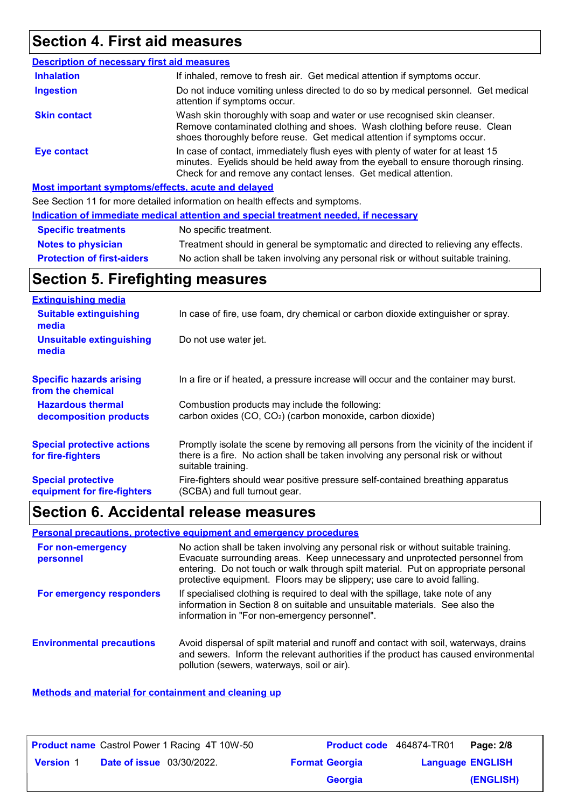# **Section 4. First aid measures**

| <b>Description of necessary first aid measures</b> |                                                                                                                                                                                                                                         |
|----------------------------------------------------|-----------------------------------------------------------------------------------------------------------------------------------------------------------------------------------------------------------------------------------------|
| <b>Inhalation</b>                                  | If inhaled, remove to fresh air. Get medical attention if symptoms occur.                                                                                                                                                               |
| <b>Ingestion</b>                                   | Do not induce vomiting unless directed to do so by medical personnel. Get medical<br>attention if symptoms occur.                                                                                                                       |
| <b>Skin contact</b>                                | Wash skin thoroughly with soap and water or use recognised skin cleanser.<br>Remove contaminated clothing and shoes. Wash clothing before reuse. Clean<br>shoes thoroughly before reuse. Get medical attention if symptoms occur.       |
| Eye contact                                        | In case of contact, immediately flush eyes with plenty of water for at least 15<br>minutes. Eyelids should be held away from the eyeball to ensure thorough rinsing.<br>Check for and remove any contact lenses. Get medical attention. |
|                                                    | Most important symptoms/effects, acute and delayed                                                                                                                                                                                      |
|                                                    | See Section 11 for more detailed information on health effects and symptoms.                                                                                                                                                            |

|                                   | Indication of immediate medical attention and special treatment needed, if necessary |
|-----------------------------------|--------------------------------------------------------------------------------------|
| <b>Specific treatments</b>        | No specific treatment.                                                               |
| <b>Notes to physician</b>         | Treatment should in general be symptomatic and directed to relieving any effects.    |
| <b>Protection of first-aiders</b> | No action shall be taken involving any personal risk or without suitable training.   |

# **Section 5. Firefighting measures**

| <b>Extinguishing media</b>                               |                                                                                                                                                                                                   |
|----------------------------------------------------------|---------------------------------------------------------------------------------------------------------------------------------------------------------------------------------------------------|
| <b>Suitable extinguishing</b><br>media                   | In case of fire, use foam, dry chemical or carbon dioxide extinguisher or spray.                                                                                                                  |
| <b>Unsuitable extinguishing</b><br>media                 | Do not use water jet.                                                                                                                                                                             |
| <b>Specific hazards arising</b><br>from the chemical     | In a fire or if heated, a pressure increase will occur and the container may burst.                                                                                                               |
| <b>Hazardous thermal</b><br>decomposition products       | Combustion products may include the following:<br>carbon oxides (CO, CO <sub>2</sub> ) (carbon monoxide, carbon dioxide)                                                                          |
| <b>Special protective actions</b><br>for fire-fighters   | Promptly isolate the scene by removing all persons from the vicinity of the incident if<br>there is a fire. No action shall be taken involving any personal risk or without<br>suitable training. |
| <b>Special protective</b><br>equipment for fire-fighters | Fire-fighters should wear positive pressure self-contained breathing apparatus<br>(SCBA) and full turnout gear.                                                                                   |

# **Section 6. Accidental release measures**

### **Personal precautions, protective equipment and emergency procedures**

| <b>For non-emergency</b><br>personnel | No action shall be taken involving any personal risk or without suitable training.<br>Evacuate surrounding areas. Keep unnecessary and unprotected personnel from<br>entering. Do not touch or walk through spilt material. Put on appropriate personal<br>protective equipment. Floors may be slippery; use care to avoid falling. |
|---------------------------------------|-------------------------------------------------------------------------------------------------------------------------------------------------------------------------------------------------------------------------------------------------------------------------------------------------------------------------------------|
| For emergency responders              | If specialised clothing is required to deal with the spillage, take note of any<br>information in Section 8 on suitable and unsuitable materials. See also the<br>information in "For non-emergency personnel".                                                                                                                     |
| <b>Environmental precautions</b>      | Avoid dispersal of spilt material and runoff and contact with soil, waterways, drains<br>and sewers. Inform the relevant authorities if the product has caused environmental<br>pollution (sewers, waterways, soil or air).                                                                                                         |

#### **Methods and material for containment and cleaning up**

| <b>Product name</b> Castrol Power 1 Racing 4T 10W-50 |                                  | Product code 464874-TR01 |                       | Page: 2/8               |           |
|------------------------------------------------------|----------------------------------|--------------------------|-----------------------|-------------------------|-----------|
| <b>Version 1</b>                                     | <b>Date of issue</b> 03/30/2022. |                          | <b>Format Georgia</b> | <b>Language ENGLISH</b> |           |
|                                                      |                                  |                          | <b>Georgia</b>        |                         | (ENGLISH) |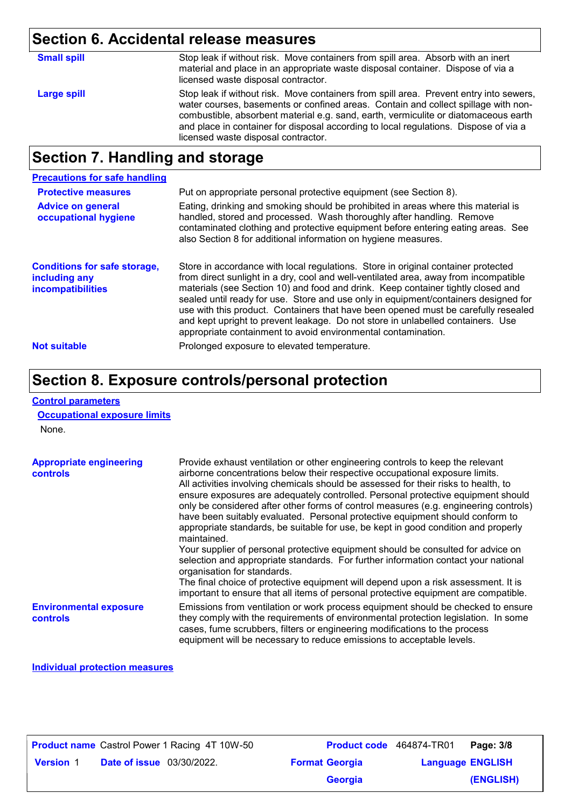# **Section 6. Accidental release measures**

| <b>Small spill</b> | Stop leak if without risk. Move containers from spill area. Absorb with an inert<br>material and place in an appropriate waste disposal container. Dispose of via a<br>licensed waste disposal contractor.                                                                                                                                                                                         |
|--------------------|----------------------------------------------------------------------------------------------------------------------------------------------------------------------------------------------------------------------------------------------------------------------------------------------------------------------------------------------------------------------------------------------------|
| Large spill        | Stop leak if without risk. Move containers from spill area. Prevent entry into sewers,<br>water courses, basements or confined areas. Contain and collect spillage with non-<br>combustible, absorbent material e.g. sand, earth, vermiculite or diatomaceous earth<br>and place in container for disposal according to local regulations. Dispose of via a<br>licensed waste disposal contractor. |
|                    |                                                                                                                                                                                                                                                                                                                                                                                                    |

# **Section 7. Handling and storage**

| <b>Precautions for safe handling</b>                                             |                                                                                                                                                                                                                                                                                                                                                                                                                                                                                                                                                                                                |
|----------------------------------------------------------------------------------|------------------------------------------------------------------------------------------------------------------------------------------------------------------------------------------------------------------------------------------------------------------------------------------------------------------------------------------------------------------------------------------------------------------------------------------------------------------------------------------------------------------------------------------------------------------------------------------------|
| <b>Protective measures</b>                                                       | Put on appropriate personal protective equipment (see Section 8).                                                                                                                                                                                                                                                                                                                                                                                                                                                                                                                              |
| <b>Advice on general</b><br>occupational hygiene                                 | Eating, drinking and smoking should be prohibited in areas where this material is<br>handled, stored and processed. Wash thoroughly after handling. Remove<br>contaminated clothing and protective equipment before entering eating areas. See<br>also Section 8 for additional information on hygiene measures.                                                                                                                                                                                                                                                                               |
| <b>Conditions for safe storage,</b><br>including any<br><b>incompatibilities</b> | Store in accordance with local regulations. Store in original container protected<br>from direct sunlight in a dry, cool and well-ventilated area, away from incompatible<br>materials (see Section 10) and food and drink. Keep container tightly closed and<br>sealed until ready for use. Store and use only in equipment/containers designed for<br>use with this product. Containers that have been opened must be carefully resealed<br>and kept upright to prevent leakage. Do not store in unlabelled containers. Use<br>appropriate containment to avoid environmental contamination. |
| <b>Not suitable</b>                                                              | Prolonged exposure to elevated temperature.                                                                                                                                                                                                                                                                                                                                                                                                                                                                                                                                                    |

### **Section 8. Exposure controls/personal protection**

#### **Control parameters**

**Occupational exposure limits**

None.

| <b>Appropriate engineering</b><br><b>controls</b> | Provide exhaust ventilation or other engineering controls to keep the relevant<br>airborne concentrations below their respective occupational exposure limits.<br>All activities involving chemicals should be assessed for their risks to health, to<br>ensure exposures are adequately controlled. Personal protective equipment should<br>only be considered after other forms of control measures (e.g. engineering controls)<br>have been suitably evaluated. Personal protective equipment should conform to<br>appropriate standards, be suitable for use, be kept in good condition and properly<br>maintained.<br>Your supplier of personal protective equipment should be consulted for advice on<br>selection and appropriate standards. For further information contact your national<br>organisation for standards.<br>The final choice of protective equipment will depend upon a risk assessment. It is<br>important to ensure that all items of personal protective equipment are compatible. |
|---------------------------------------------------|---------------------------------------------------------------------------------------------------------------------------------------------------------------------------------------------------------------------------------------------------------------------------------------------------------------------------------------------------------------------------------------------------------------------------------------------------------------------------------------------------------------------------------------------------------------------------------------------------------------------------------------------------------------------------------------------------------------------------------------------------------------------------------------------------------------------------------------------------------------------------------------------------------------------------------------------------------------------------------------------------------------|
| <b>Environmental exposure</b><br><b>controls</b>  | Emissions from ventilation or work process equipment should be checked to ensure<br>they comply with the requirements of environmental protection legislation. In some<br>cases, fume scrubbers, filters or engineering modifications to the process                                                                                                                                                                                                                                                                                                                                                                                                                                                                                                                                                                                                                                                                                                                                                          |

equipment will be necessary to reduce emissions to acceptable levels.

#### **Individual protection measures**

| <b>Product name</b> Castrol Power 1 Racing 4T 10W-50 |                       | <b>Product code</b> 464874-TR01 | Page: 3/8 |
|------------------------------------------------------|-----------------------|---------------------------------|-----------|
| <b>Version 1</b><br><b>Date of issue</b> 03/30/2022. | <b>Format Georgia</b> | <b>Language ENGLISH</b>         |           |
|                                                      | <b>Georgia</b>        |                                 | (ENGLISH) |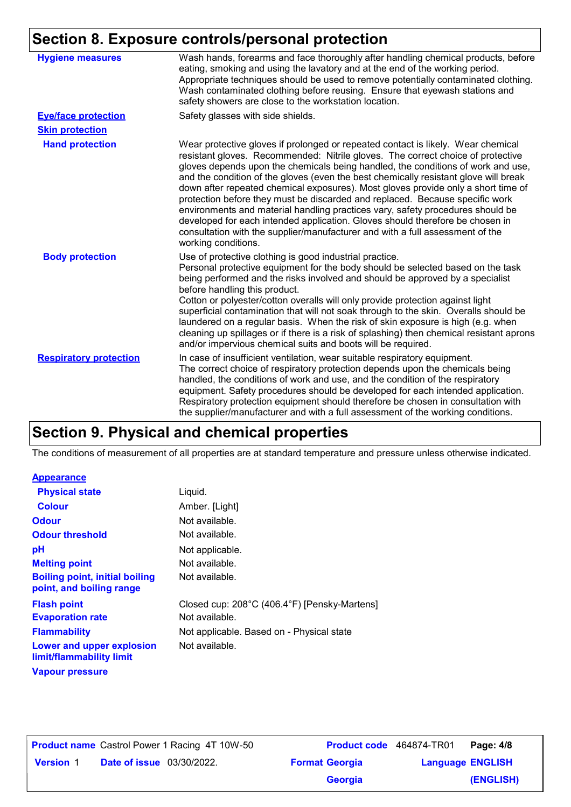# **Section 8. Exposure controls/personal protection**

| <b>Hygiene measures</b>       | Wash hands, forearms and face thoroughly after handling chemical products, before<br>eating, smoking and using the lavatory and at the end of the working period.<br>Appropriate techniques should be used to remove potentially contaminated clothing.<br>Wash contaminated clothing before reusing. Ensure that eyewash stations and<br>safety showers are close to the workstation location.                                                                                                                                                                                                                                                                                                                                                                                                 |
|-------------------------------|-------------------------------------------------------------------------------------------------------------------------------------------------------------------------------------------------------------------------------------------------------------------------------------------------------------------------------------------------------------------------------------------------------------------------------------------------------------------------------------------------------------------------------------------------------------------------------------------------------------------------------------------------------------------------------------------------------------------------------------------------------------------------------------------------|
| <b>Eye/face protection</b>    | Safety glasses with side shields.                                                                                                                                                                                                                                                                                                                                                                                                                                                                                                                                                                                                                                                                                                                                                               |
| <b>Skin protection</b>        |                                                                                                                                                                                                                                                                                                                                                                                                                                                                                                                                                                                                                                                                                                                                                                                                 |
| <b>Hand protection</b>        | Wear protective gloves if prolonged or repeated contact is likely. Wear chemical<br>resistant gloves. Recommended: Nitrile gloves. The correct choice of protective<br>gloves depends upon the chemicals being handled, the conditions of work and use,<br>and the condition of the gloves (even the best chemically resistant glove will break<br>down after repeated chemical exposures). Most gloves provide only a short time of<br>protection before they must be discarded and replaced. Because specific work<br>environments and material handling practices vary, safety procedures should be<br>developed for each intended application. Gloves should therefore be chosen in<br>consultation with the supplier/manufacturer and with a full assessment of the<br>working conditions. |
| <b>Body protection</b>        | Use of protective clothing is good industrial practice.<br>Personal protective equipment for the body should be selected based on the task<br>being performed and the risks involved and should be approved by a specialist<br>before handling this product.<br>Cotton or polyester/cotton overalls will only provide protection against light<br>superficial contamination that will not soak through to the skin. Overalls should be<br>laundered on a regular basis. When the risk of skin exposure is high (e.g. when<br>cleaning up spillages or if there is a risk of splashing) then chemical resistant aprons<br>and/or impervious chemical suits and boots will be required.                                                                                                           |
| <b>Respiratory protection</b> | In case of insufficient ventilation, wear suitable respiratory equipment.<br>The correct choice of respiratory protection depends upon the chemicals being<br>handled, the conditions of work and use, and the condition of the respiratory<br>equipment. Safety procedures should be developed for each intended application.<br>Respiratory protection equipment should therefore be chosen in consultation with<br>the supplier/manufacturer and with a full assessment of the working conditions.                                                                                                                                                                                                                                                                                           |

### **Section 9. Physical and chemical properties**

The conditions of measurement of all properties are at standard temperature and pressure unless otherwise indicated.

#### **Appearance**

| <b>Physical state</b>                                             | Liquid.                                      |
|-------------------------------------------------------------------|----------------------------------------------|
| <b>Colour</b>                                                     | Amber. [Light]                               |
| <b>Odour</b>                                                      | Not available.                               |
| <b>Odour threshold</b>                                            | Not available.                               |
| pH                                                                | Not applicable.                              |
| <b>Melting point</b>                                              | Not available.                               |
| <b>Boiling point, initial boiling</b><br>point, and boiling range | Not available.                               |
| <b>Flash point</b>                                                | Closed cup: 208°C (406.4°F) [Pensky-Martens] |
| <b>Evaporation rate</b>                                           | Not available.                               |
| <b>Flammability</b>                                               | Not applicable. Based on - Physical state    |
| Lower and upper explosion<br>limit/flammability limit             | Not available.                               |
| <b>Vapour pressure</b>                                            |                                              |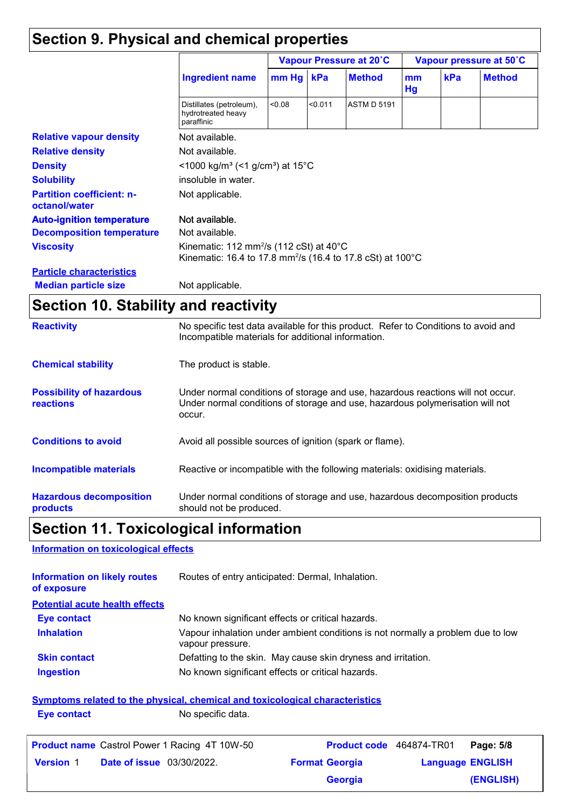# **Section 9. Physical and chemical properties**

|                                                   | <b>Ingredient name</b>                                                                                                                    | Vapour Pressure at 20°C |         | Vapour pressure at 50°C |          |     |               |
|---------------------------------------------------|-------------------------------------------------------------------------------------------------------------------------------------------|-------------------------|---------|-------------------------|----------|-----|---------------|
|                                                   |                                                                                                                                           | $mm$ Hg                 | kPa     | <b>Method</b>           | mm<br>Hg | kPa | <b>Method</b> |
|                                                   | Distillates (petroleum),<br>hydrotreated heavy<br>paraffinic                                                                              | < 0.08                  | < 0.011 | <b>ASTM D 5191</b>      |          |     |               |
| <b>Relative vapour density</b>                    | Not available.                                                                                                                            |                         |         |                         |          |     |               |
| <b>Relative density</b>                           | Not available.                                                                                                                            |                         |         |                         |          |     |               |
| <b>Density</b>                                    | $<$ 1000 kg/m <sup>3</sup> (<1 g/cm <sup>3</sup> ) at 15 <sup>°</sup> C                                                                   |                         |         |                         |          |     |               |
| <b>Solubility</b>                                 | insoluble in water.                                                                                                                       |                         |         |                         |          |     |               |
| <b>Partition coefficient: n-</b><br>octanol/water | Not applicable.                                                                                                                           |                         |         |                         |          |     |               |
| <b>Auto-ignition temperature</b>                  | Not available.                                                                                                                            |                         |         |                         |          |     |               |
| <b>Decomposition temperature</b>                  | Not available.                                                                                                                            |                         |         |                         |          |     |               |
| <b>Viscosity</b>                                  | Kinematic: 112 mm <sup>2</sup> /s (112 cSt) at 40 $^{\circ}$ C<br>Kinematic: 16.4 to 17.8 mm <sup>2</sup> /s (16.4 to 17.8 cSt) at 100 °C |                         |         |                         |          |     |               |
| <b>Particle characteristics</b>                   |                                                                                                                                           |                         |         |                         |          |     |               |
| <b>Median particle size</b>                       | Not applicable.                                                                                                                           |                         |         |                         |          |     |               |

### **Section 10. Stability and reactivity**

| <b>Reactivity</b>                            | No specific test data available for this product. Refer to Conditions to avoid and<br>Incompatible materials for additional information.                                   |
|----------------------------------------------|----------------------------------------------------------------------------------------------------------------------------------------------------------------------------|
| <b>Chemical stability</b>                    | The product is stable.                                                                                                                                                     |
| <b>Possibility of hazardous</b><br>reactions | Under normal conditions of storage and use, hazardous reactions will not occur.<br>Under normal conditions of storage and use, hazardous polymerisation will not<br>occur. |
| <b>Conditions to avoid</b>                   | Avoid all possible sources of ignition (spark or flame).                                                                                                                   |
| <b>Incompatible materials</b>                | Reactive or incompatible with the following materials: oxidising materials.                                                                                                |
| <b>Hazardous decomposition</b><br>products   | Under normal conditions of storage and use, hazardous decomposition products<br>should not be produced.                                                                    |

# **Section 11. Toxicological information**

#### **Information on toxicological effects**

| <b>Information on likely routes</b><br>of exposure | Routes of entry anticipated: Dermal, Inhalation.                                                    |
|----------------------------------------------------|-----------------------------------------------------------------------------------------------------|
| <b>Potential acute health effects</b>              |                                                                                                     |
| Eye contact                                        | No known significant effects or critical hazards.                                                   |
| <b>Inhalation</b>                                  | Vapour inhalation under ambient conditions is not normally a problem due to low<br>vapour pressure. |
| <b>Skin contact</b>                                | Defatting to the skin. May cause skin dryness and irritation.                                       |
| <b>Ingestion</b>                                   | No known significant effects or critical hazards.                                                   |
|                                                    | Symptoms related to the physical, chemical and toxicological characteristics                        |

**Eye contact** No specific data.

| <b>Product name</b> Castrol Power 1 Racing 4T 10W-50 | Product code 464874-TR01 |                         | Page: 5/8 |
|------------------------------------------------------|--------------------------|-------------------------|-----------|
| <b>Date of issue</b> 03/30/2022.<br><b>Version 1</b> | <b>Format Georgia</b>    | <b>Language ENGLISH</b> |           |
|                                                      | <b>Georgia</b>           |                         | (ENGLISH) |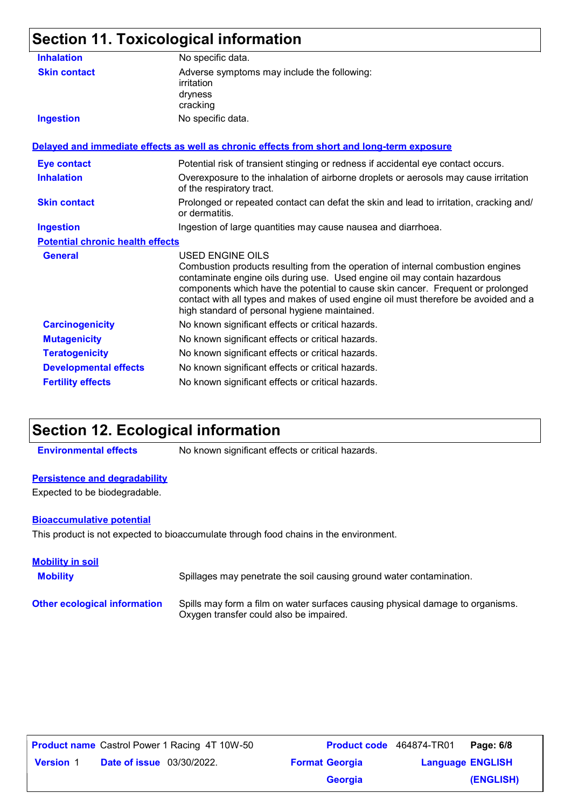# **Section 11. Toxicological information**

| <b>Inhalation</b>                       | No specific data.                                                                                                                                                                                                                                                                                                                                                                                                  |
|-----------------------------------------|--------------------------------------------------------------------------------------------------------------------------------------------------------------------------------------------------------------------------------------------------------------------------------------------------------------------------------------------------------------------------------------------------------------------|
| <b>Skin contact</b>                     | Adverse symptoms may include the following:<br>irritation<br>dryness<br>cracking                                                                                                                                                                                                                                                                                                                                   |
| <b>Ingestion</b>                        | No specific data.                                                                                                                                                                                                                                                                                                                                                                                                  |
|                                         | Delayed and immediate effects as well as chronic effects from short and long-term exposure                                                                                                                                                                                                                                                                                                                         |
| <b>Eye contact</b>                      | Potential risk of transient stinging or redness if accidental eye contact occurs.                                                                                                                                                                                                                                                                                                                                  |
| <b>Inhalation</b>                       | Overexposure to the inhalation of airborne droplets or aerosols may cause irritation<br>of the respiratory tract.                                                                                                                                                                                                                                                                                                  |
| <b>Skin contact</b>                     | Prolonged or repeated contact can defat the skin and lead to irritation, cracking and/<br>or dermatitis.                                                                                                                                                                                                                                                                                                           |
| <b>Ingestion</b>                        | Ingestion of large quantities may cause nausea and diarrhoea.                                                                                                                                                                                                                                                                                                                                                      |
| <b>Potential chronic health effects</b> |                                                                                                                                                                                                                                                                                                                                                                                                                    |
| <b>General</b>                          | <b>USED ENGINE OILS</b><br>Combustion products resulting from the operation of internal combustion engines<br>contaminate engine oils during use. Used engine oil may contain hazardous<br>components which have the potential to cause skin cancer. Frequent or prolonged<br>contact with all types and makes of used engine oil must therefore be avoided and a<br>high standard of personal hygiene maintained. |
| <b>Carcinogenicity</b>                  | No known significant effects or critical hazards.                                                                                                                                                                                                                                                                                                                                                                  |
| <b>Mutagenicity</b>                     | No known significant effects or critical hazards.                                                                                                                                                                                                                                                                                                                                                                  |
| <b>Teratogenicity</b>                   | No known significant effects or critical hazards.                                                                                                                                                                                                                                                                                                                                                                  |
| <b>Developmental effects</b>            | No known significant effects or critical hazards.                                                                                                                                                                                                                                                                                                                                                                  |
| <b>Fertility effects</b>                | No known significant effects or critical hazards.                                                                                                                                                                                                                                                                                                                                                                  |
|                                         |                                                                                                                                                                                                                                                                                                                                                                                                                    |

### **Section 12. Ecological information**

**Environmental effects** No known significant effects or critical hazards.

#### **Persistence and degradability**

Expected to be biodegradable.

#### **Bioaccumulative potential**

This product is not expected to bioaccumulate through food chains in the environment.

| <b>Mobility in soil</b>             |                                                                                                                           |
|-------------------------------------|---------------------------------------------------------------------------------------------------------------------------|
| <b>Mobility</b>                     | Spillages may penetrate the soil causing ground water contamination.                                                      |
| <b>Other ecological information</b> | Spills may form a film on water surfaces causing physical damage to organisms.<br>Oxygen transfer could also be impaired. |

| <b>Product name</b> Castrol Power 1 Racing 4T 10W-50 | <b>Product code</b> 464874-TR01 |                         | Page: 6/8 |
|------------------------------------------------------|---------------------------------|-------------------------|-----------|
| <b>Date of issue</b> 03/30/2022.<br><b>Version 1</b> | <b>Format Georgia</b>           | <b>Language ENGLISH</b> |           |
|                                                      | <b>Georgia</b>                  |                         | (ENGLISH) |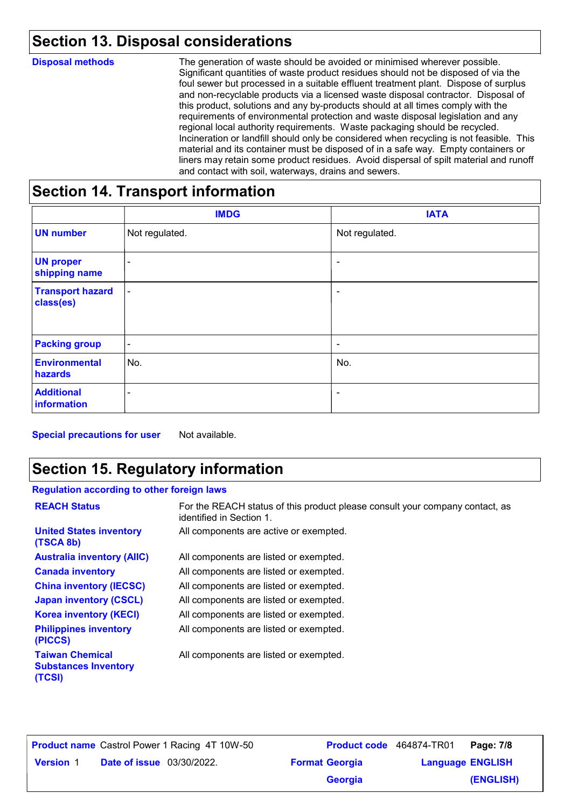# **Section 13. Disposal considerations**

| <b>Disposal methods</b>          | The generation of waste should be avoided or minimised wherever possible.<br>Significant quantities of waste product residues should not be disposed of via the<br>foul sewer but processed in a suitable effluent treatment plant. Dispose of surplus<br>and non-recyclable products via a licensed waste disposal contractor. Disposal of<br>this product, solutions and any by-products should at all times comply with the<br>requirements of environmental protection and waste disposal legislation and any<br>regional local authority requirements. Waste packaging should be recycled.<br>Incineration or landfill should only be considered when recycling is not feasible. This<br>material and its container must be disposed of in a safe way. Empty containers or<br>liners may retain some product residues. Avoid dispersal of spilt material and runoff<br>and contact with soil, waterways, drains and sewers. |
|----------------------------------|----------------------------------------------------------------------------------------------------------------------------------------------------------------------------------------------------------------------------------------------------------------------------------------------------------------------------------------------------------------------------------------------------------------------------------------------------------------------------------------------------------------------------------------------------------------------------------------------------------------------------------------------------------------------------------------------------------------------------------------------------------------------------------------------------------------------------------------------------------------------------------------------------------------------------------|
| Castian 11 Transport information |                                                                                                                                                                                                                                                                                                                                                                                                                                                                                                                                                                                                                                                                                                                                                                                                                                                                                                                                  |

### **Section 14. Transport information**

|                                      | <b>IMDG</b>              | <b>IATA</b>              |
|--------------------------------------|--------------------------|--------------------------|
| <b>UN number</b>                     | Not regulated.           | Not regulated.           |
| <b>UN proper</b><br>shipping name    | -                        | $\overline{a}$           |
| <b>Transport hazard</b><br>class(es) | $\overline{\phantom{a}}$ | $\overline{\phantom{a}}$ |
| <b>Packing group</b>                 | $\blacksquare$           | $\overline{\phantom{a}}$ |
| <b>Environmental</b><br>hazards      | No.                      | No.                      |
| <b>Additional</b><br>information     | $\sim$                   | -                        |

**Special precautions for user** Not available.

### **Section 15. Regulatory information**

#### **Regulation according to other foreign laws**

| <b>REACH Status</b>                                             | For the REACH status of this product please consult your company contact, as<br>identified in Section 1. |
|-----------------------------------------------------------------|----------------------------------------------------------------------------------------------------------|
| <b>United States inventory</b><br>(TSCA 8b)                     | All components are active or exempted.                                                                   |
| <b>Australia inventory (AIIC)</b>                               | All components are listed or exempted.                                                                   |
| <b>Canada inventory</b>                                         | All components are listed or exempted.                                                                   |
| <b>China inventory (IECSC)</b>                                  | All components are listed or exempted.                                                                   |
| <b>Japan inventory (CSCL)</b>                                   | All components are listed or exempted.                                                                   |
| <b>Korea inventory (KECI)</b>                                   | All components are listed or exempted.                                                                   |
| <b>Philippines inventory</b><br>(PICCS)                         | All components are listed or exempted.                                                                   |
| <b>Taiwan Chemical</b><br><b>Substances Inventory</b><br>(TCSI) | All components are listed or exempted.                                                                   |

**Date of issue** 03/30/2022. **Version** 1 **Format Georgia Language Product name** Castrol Power 1 Racing 4T 10W-50 **Product code** 464874-TR01 **Page: 7/8** | **Language ENGLISH (ENGLISH)** Product code 464874-TR01 Page: 7/8 **Georgia**